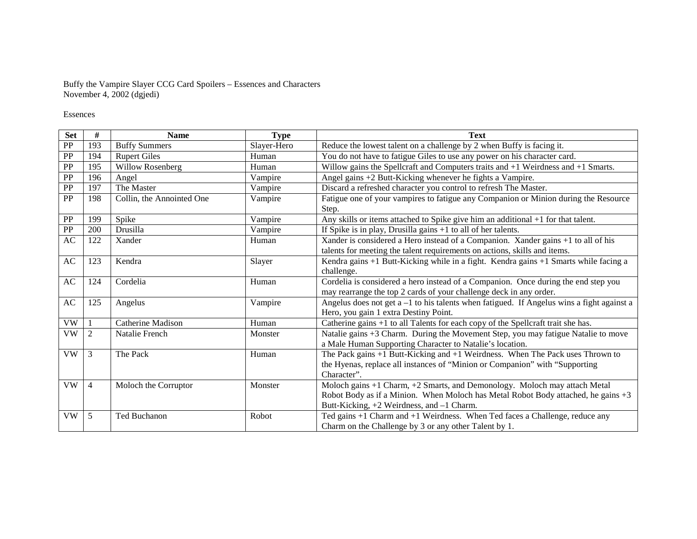## Buffy the Vampire Slayer CCG Card Spoilers – Essences and Characters November 4, 2002 (dgjedi)

## Essences

| <b>Set</b>             | #              | <b>Name</b>               | <b>Type</b> | <b>Text</b>                                                                                  |
|------------------------|----------------|---------------------------|-------------|----------------------------------------------------------------------------------------------|
| PP                     | 193            | <b>Buffy Summers</b>      | Slayer-Hero | Reduce the lowest talent on a challenge by 2 when Buffy is facing it.                        |
| PP                     | 194            | <b>Rupert Giles</b>       | Human       | You do not have to fatigue Giles to use any power on his character card.                     |
| PP                     | 195            | Willow Rosenberg          | Human       | Willow gains the Spellcraft and Computers traits and $+1$ Weirdness and $+1$ Smarts.         |
| PP                     | 196            | Angel                     | Vampire     | Angel gains +2 Butt-Kicking whenever he fights a Vampire.                                    |
| PP                     | 197            | The Master                | Vampire     | Discard a refreshed character you control to refresh The Master.                             |
| <b>PP</b>              | 198            | Collin, the Annointed One | Vampire     | Fatigue one of your vampires to fatigue any Companion or Minion during the Resource          |
|                        |                |                           |             | Step.                                                                                        |
| PP                     | 199            | Spike                     | Vampire     | Any skills or items attached to Spike give him an additional $+1$ for that talent.           |
| PP                     | 200            | Drusilla                  | Vampire     | If Spike is in play, Drusilla gains $+1$ to all of her talents.                              |
| AC                     | 122            | Xander                    | Human       | Xander is considered a Hero instead of a Companion. Xander gains +1 to all of his            |
|                        |                |                           |             | talents for meeting the talent requirements on actions, skills and items.                    |
| $\mathbf{A}\mathbf{C}$ | 123            | Kendra                    | Slayer      | Kendra gains +1 Butt-Kicking while in a fight. Kendra gains +1 Smarts while facing a         |
|                        |                |                           |             | challenge.                                                                                   |
| AC                     | 124            | Cordelia                  | Human       | Cordelia is considered a hero instead of a Companion. Once during the end step you           |
|                        |                |                           |             | may rearrange the top 2 cards of your challenge deck in any order.                           |
| AC                     | 125            | Angelus                   | Vampire     | Angelus does not get $a - 1$ to his talents when fatigued. If Angelus wins a fight against a |
|                        |                |                           |             | Hero, you gain 1 extra Destiny Point.                                                        |
| <b>VW</b>              |                | Catherine Madison         | Human       | Catherine gains +1 to all Talents for each copy of the Spellcraft trait she has.             |
| VW                     | $\overline{2}$ | Natalie French            | Monster     | Natalie gains +3 Charm. During the Movement Step, you may fatigue Natalie to move            |
|                        |                |                           |             | a Male Human Supporting Character to Natalie's location.                                     |
| <b>VW</b>              | 3              | The Pack                  | Human       | The Pack gains $+1$ Butt-Kicking and $+1$ Weirdness. When The Pack uses Thrown to            |
|                        |                |                           |             | the Hyenas, replace all instances of "Minion or Companion" with "Supporting                  |
|                        |                |                           |             | Character".                                                                                  |
| <b>VW</b>              | $\overline{4}$ | Moloch the Corruptor      | Monster     | Moloch gains +1 Charm, +2 Smarts, and Demonology. Moloch may attach Metal                    |
|                        |                |                           |             | Robot Body as if a Minion. When Moloch has Metal Robot Body attached, he gains +3            |
|                        |                |                           |             | Butt-Kicking, +2 Weirdness, and -1 Charm.                                                    |
| <b>VW</b>              | 5              | Ted Buchanon              | Robot       | Ted gains +1 Charm and +1 Weirdness. When Ted faces a Challenge, reduce any                  |
|                        |                |                           |             | Charm on the Challenge by 3 or any other Talent by 1.                                        |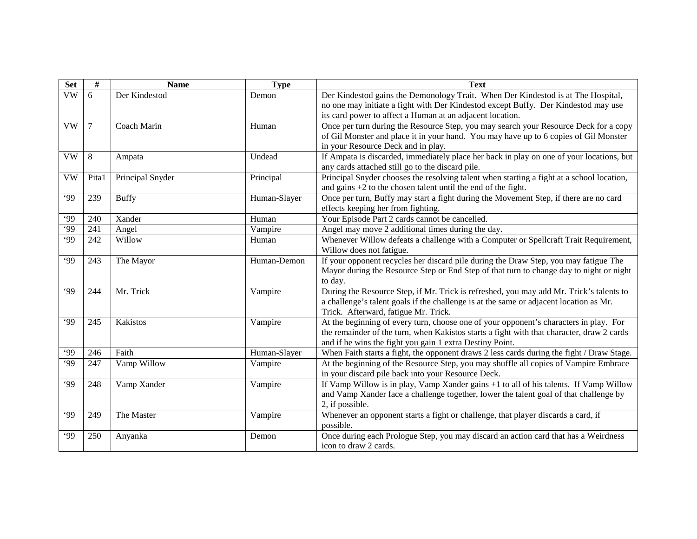| <b>Set</b>             | $\#$           | <b>Name</b>      | <b>Type</b>  | <b>Text</b>                                                                                                                                  |
|------------------------|----------------|------------------|--------------|----------------------------------------------------------------------------------------------------------------------------------------------|
| $\overline{\text{VW}}$ | 6              | Der Kindestod    | Demon        | Der Kindestod gains the Demonology Trait. When Der Kindestod is at The Hospital,                                                             |
|                        |                |                  |              | no one may initiate a fight with Der Kindestod except Buffy. Der Kindestod may use                                                           |
|                        |                |                  |              | its card power to affect a Human at an adjacent location.                                                                                    |
| <b>VW</b>              | $\overline{7}$ | Coach Marin      | Human        | Once per turn during the Resource Step, you may search your Resource Deck for a copy                                                         |
|                        |                |                  |              | of Gil Monster and place it in your hand. You may have up to 6 copies of Gil Monster                                                         |
|                        |                |                  |              | in your Resource Deck and in play.                                                                                                           |
| <b>VW</b>              | 8              | Ampata           | Undead       | If Ampata is discarded, immediately place her back in play on one of your locations, but<br>any cards attached still go to the discard pile. |
| <b>VW</b>              | Pita1          | Principal Snyder | Principal    | Principal Snyder chooses the resolving talent when starting a fight at a school location,                                                    |
|                        |                |                  |              | and gains $+2$ to the chosen talent until the end of the fight.                                                                              |
| .99                    | 239            | <b>Buffy</b>     | Human-Slayer | Once per turn, Buffy may start a fight during the Movement Step, if there are no card                                                        |
|                        |                |                  |              | effects keeping her from fighting.                                                                                                           |
| .99                    | 240            | Xander           | Human        | Your Episode Part 2 cards cannot be cancelled.                                                                                               |
| $\overline{99}$        | 241            | Angel            | Vampire      | Angel may move 2 additional times during the day.                                                                                            |
| .99                    | 242            | Willow           | Human        | Whenever Willow defeats a challenge with a Computer or Spellcraft Trait Requirement,                                                         |
|                        |                |                  |              | Willow does not fatigue.                                                                                                                     |
| .99                    | 243            | The Mayor        | Human-Demon  | If your opponent recycles her discard pile during the Draw Step, you may fatigue The                                                         |
|                        |                |                  |              | Mayor during the Resource Step or End Step of that turn to change day to night or night                                                      |
|                        |                |                  |              | to day.                                                                                                                                      |
| .99                    | 244            | Mr. Trick        | Vampire      | During the Resource Step, if Mr. Trick is refreshed, you may add Mr. Trick's talents to                                                      |
|                        |                |                  |              | a challenge's talent goals if the challenge is at the same or adjacent location as Mr.                                                       |
|                        |                |                  |              | Trick. Afterward, fatigue Mr. Trick.                                                                                                         |
| .99                    | 245            | Kakistos         | Vampire      | At the beginning of every turn, choose one of your opponent's characters in play. For                                                        |
|                        |                |                  |              | the remainder of the turn, when Kakistos starts a fight with that character, draw 2 cards                                                    |
|                        |                |                  |              | and if he wins the fight you gain 1 extra Destiny Point.                                                                                     |
| .99                    | 246            | Faith            | Human-Slayer | When Faith starts a fight, the opponent draws 2 less cards during the fight / Draw Stage.                                                    |
| .99                    | 247            | Vamp Willow      | Vampire      | At the beginning of the Resource Step, you may shuffle all copies of Vampire Embrace                                                         |
| .99                    | 248            | Vamp Xander      |              | in your discard pile back into your Resource Deck.<br>If Vamp Willow is in play, Vamp Xander gains +1 to all of his talents. If Vamp Willow  |
|                        |                |                  | Vampire      | and Vamp Xander face a challenge together, lower the talent goal of that challenge by                                                        |
|                        |                |                  |              | 2, if possible.                                                                                                                              |
| .99                    | 249            | The Master       | Vampire      | Whenever an opponent starts a fight or challenge, that player discards a card, if                                                            |
|                        |                |                  |              | possible.                                                                                                                                    |
| .99                    | 250            | Anyanka          | Demon        | Once during each Prologue Step, you may discard an action card that has a Weirdness                                                          |
|                        |                |                  |              | icon to draw 2 cards.                                                                                                                        |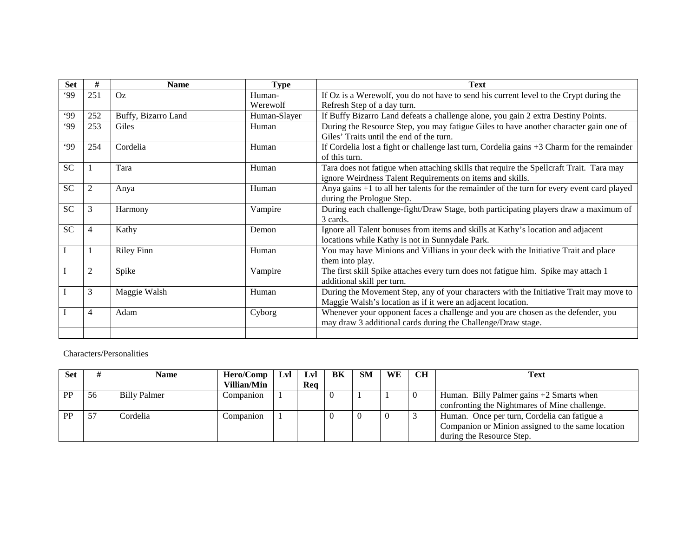| <b>Set</b> | #              | Name                | <b>Type</b>  | <b>Text</b>                                                                                                   |
|------------|----------------|---------------------|--------------|---------------------------------------------------------------------------------------------------------------|
| .99        | 251            | Oz                  | Human-       | If Oz is a Werewolf, you do not have to send his current level to the Crypt during the                        |
|            |                |                     | Werewolf     | Refresh Step of a day turn.                                                                                   |
| .99        | 252            | Buffy, Bizarro Land | Human-Slayer | If Buffy Bizarro Land defeats a challenge alone, you gain 2 extra Destiny Points.                             |
| .99        | 253            | Giles               | Human        | During the Resource Step, you may fatigue Giles to have another character gain one of                         |
|            |                |                     |              | Giles' Traits until the end of the turn.                                                                      |
| .99        | 254            | Cordelia            | Human        | If Cordelia lost a fight or challenge last turn, Cordelia gains $+3$ Charm for the remainder<br>of this turn. |
| <b>SC</b>  |                | Tara                | Human        | Tara does not fatigue when attaching skills that require the Spellcraft Trait. Tara may                       |
|            |                |                     |              | ignore Weirdness Talent Requirements on items and skills.                                                     |
| <b>SC</b>  | 2              | Anya                | Human        | Anya gains +1 to all her talents for the remainder of the turn for every event card played                    |
|            |                |                     |              | during the Prologue Step.                                                                                     |
| <b>SC</b>  | 3              | Harmony             | Vampire      | During each challenge-fight/Draw Stage, both participating players draw a maximum of                          |
|            |                |                     |              | 3 cards.                                                                                                      |
| <b>SC</b>  | 4              | Kathy               | Demon        | Ignore all Talent bonuses from items and skills at Kathy's location and adjacent                              |
|            |                |                     |              | locations while Kathy is not in Sunnydale Park.                                                               |
| I          |                | <b>Riley Finn</b>   | Human        | You may have Minions and Villians in your deck with the Initiative Trait and place                            |
|            |                |                     |              | them into play.                                                                                               |
|            | $\overline{2}$ | Spike               | Vampire      | The first skill Spike attaches every turn does not fatigue him. Spike may attach 1                            |
|            |                |                     |              | additional skill per turn.                                                                                    |
|            | 3              | Maggie Walsh        | Human        | During the Movement Step, any of your characters with the Initiative Trait may move to                        |
|            |                |                     |              | Maggie Walsh's location as if it were an adjacent location.                                                   |
|            | $\overline{4}$ | Adam                | Cyborg       | Whenever your opponent faces a challenge and you are chosen as the defender, you                              |
|            |                |                     |              | may draw 3 additional cards during the Challenge/Draw stage.                                                  |
|            |                |                     |              |                                                                                                               |

## Characters/Personalities

| <b>Set</b> |    | Name                | Hero/Comp   | Lvl | <b>Lvl</b> | BK | <b>SM</b> | WE | CH | Text                                              |
|------------|----|---------------------|-------------|-----|------------|----|-----------|----|----|---------------------------------------------------|
|            |    |                     | Villian/Min |     | Rea        |    |           |    |    |                                                   |
| PP         | 56 | <b>Billy Palmer</b> | Companion   |     |            |    |           |    |    | Human. Billy Palmer gains $+2$ Smarts when        |
|            |    |                     |             |     |            |    |           |    |    | confronting the Nightmares of Mine challenge.     |
| <b>PP</b>  | 57 | Cordelia            | Companion   |     |            |    |           |    |    | Human. Once per turn, Cordelia can fatigue a      |
|            |    |                     |             |     |            |    |           |    |    | Companion or Minion assigned to the same location |
|            |    |                     |             |     |            |    |           |    |    | during the Resource Step.                         |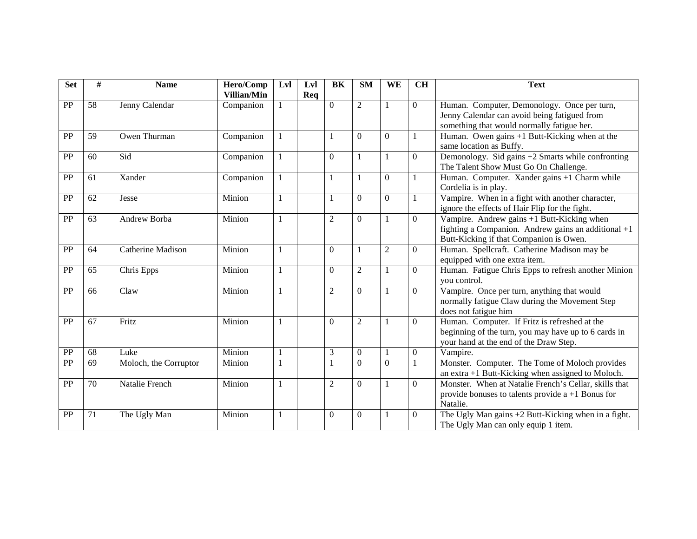| <b>Set</b> | #  | <b>Name</b>              | Hero/Comp   | Lvl          | Lvl | BK             | SM             | WE             | <b>CH</b>        | <b>Text</b>                                                                                      |
|------------|----|--------------------------|-------------|--------------|-----|----------------|----------------|----------------|------------------|--------------------------------------------------------------------------------------------------|
|            |    |                          | Villian/Min |              | Req |                |                |                |                  |                                                                                                  |
| PP         | 58 | Jenny Calendar           | Companion   |              |     | $\mathbf{0}$   | $\overline{c}$ |                | $\mathbf{0}$     | Human. Computer, Demonology. Once per turn,                                                      |
|            |    |                          |             |              |     |                |                |                |                  | Jenny Calendar can avoid being fatigued from                                                     |
|            |    |                          |             |              |     |                |                |                |                  | something that would normally fatigue her.                                                       |
| PP         | 59 | Owen Thurman             | Companion   |              |     | $\mathbf{1}$   | $\Omega$       | $\Omega$       |                  | Human. Owen gains +1 Butt-Kicking when at the<br>same location as Buffy.                         |
|            |    | Sid                      |             |              |     |                |                |                |                  |                                                                                                  |
| PP         | 60 |                          | Companion   |              |     | $\Omega$       | 1              | 1              | $\mathbf{0}$     | Demonology. Sid gains +2 Smarts while confronting<br>The Talent Show Must Go On Challenge.       |
| PP         | 61 | Xander                   | Companion   |              |     | 1              |                | $\overline{0}$ |                  | Human. Computer. Xander gains +1 Charm while                                                     |
|            |    |                          |             |              |     |                |                |                |                  | Cordelia is in play.                                                                             |
| PP         | 62 | Jesse                    | Minion      | $\mathbf{1}$ |     | 1              | $\Omega$       | $\Omega$       |                  | Vampire. When in a fight with another character,                                                 |
|            |    |                          |             |              |     |                |                |                |                  | ignore the effects of Hair Flip for the fight.                                                   |
| PP         | 63 | Andrew Borba             | Minion      |              |     | $\overline{2}$ | $\Omega$       | 1              | $\mathbf{0}$     | Vampire. Andrew gains +1 Butt-Kicking when                                                       |
|            |    |                          |             |              |     |                |                |                |                  | fighting a Companion. Andrew gains an additional $+1$<br>Butt-Kicking if that Companion is Owen. |
| PP         | 64 | <b>Catherine Madison</b> | Minion      |              |     | $\Omega$       |                |                |                  |                                                                                                  |
|            |    |                          |             |              |     |                | 1              | $\overline{2}$ | $\theta$         | Human. Spellcraft. Catherine Madison may be                                                      |
|            |    |                          |             |              |     |                |                |                |                  | equipped with one extra item.                                                                    |
| PP         | 65 | Chris Epps               | Minion      |              |     | $\mathbf{0}$   | $\overline{c}$ |                | $\boldsymbol{0}$ | Human. Fatigue Chris Epps to refresh another Minion<br>you control.                              |
| PP         | 66 | Claw                     | Minion      |              |     | $\overline{2}$ | $\Omega$       | $\mathbf{1}$   | $\overline{0}$   | Vampire. Once per turn, anything that would                                                      |
|            |    |                          |             |              |     |                |                |                |                  | normally fatigue Claw during the Movement Step                                                   |
|            |    |                          |             |              |     |                |                |                |                  | does not fatigue him                                                                             |
| PP         | 67 | Fritz                    | Minion      |              |     | $\Omega$       | $\overline{c}$ | 1              | $\theta$         | Human. Computer. If Fritz is refreshed at the                                                    |
|            |    |                          |             |              |     |                |                |                |                  | beginning of the turn, you may have up to 6 cards in                                             |
|            |    |                          |             |              |     |                |                |                |                  | your hand at the end of the Draw Step.                                                           |
| PP         | 68 | Luke                     | Minion      |              |     | 3              | $\mathbf{0}$   | $\mathbf{1}$   | $\boldsymbol{0}$ | Vampire.                                                                                         |
| PP         | 69 | Moloch, the Corruptor    | Minion      | $\mathbf{1}$ |     | 1              | $\Omega$       | $\Omega$       |                  | Monster. Computer. The Tome of Moloch provides                                                   |
|            |    |                          |             |              |     |                |                |                |                  | an extra $+1$ Butt-Kicking when assigned to Moloch.                                              |
| PP         | 70 | Natalie French           | Minion      | $\mathbf{1}$ |     | $\overline{2}$ | $\Omega$       | 1              | $\overline{0}$   | Monster. When at Natalie French's Cellar, skills that                                            |
|            |    |                          |             |              |     |                |                |                |                  | provide bonuses to talents provide $a + 1$ Bonus for                                             |
|            |    |                          |             |              |     |                |                |                |                  | Natalie.                                                                                         |
| PP         | 71 | The Ugly Man             | Minion      | $\mathbf{1}$ |     | $\Omega$       | $\Omega$       | 1              | $\overline{0}$   | The Ugly Man gains +2 Butt-Kicking when in a fight.                                              |
|            |    |                          |             |              |     |                |                |                |                  | The Ugly Man can only equip 1 item.                                                              |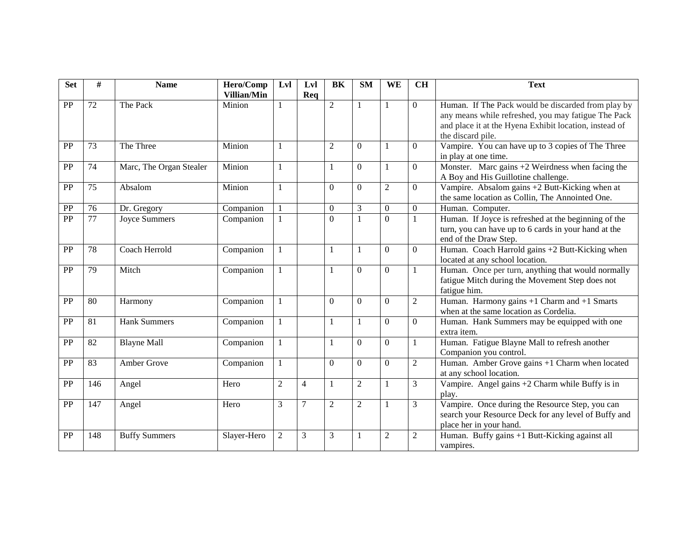| <b>Set</b> | #   | <b>Name</b>             | Hero/Comp<br>Villian/Min | Lyl            | Lvl            | BK             | <b>SM</b>      | WE               | <b>CH</b>        | <b>Text</b>                                                                                                                                                                              |
|------------|-----|-------------------------|--------------------------|----------------|----------------|----------------|----------------|------------------|------------------|------------------------------------------------------------------------------------------------------------------------------------------------------------------------------------------|
| PP         | 72  | The Pack                | Minion                   | 1              | Req            | $\overline{2}$ | 1              | 1                | $\overline{0}$   | Human. If The Pack would be discarded from play by<br>any means while refreshed, you may fatigue The Pack<br>and place it at the Hyena Exhibit location, instead of<br>the discard pile. |
| PP         | 73  | The Three               | Minion                   | $\mathbf{1}$   |                | $\mathfrak{2}$ | $\Omega$       | 1                | $\overline{0}$   | Vampire. You can have up to 3 copies of The Three<br>in play at one time.                                                                                                                |
| PP         | 74  | Marc, The Organ Stealer | Minion                   | $\mathbf{1}$   |                | $\mathbf{1}$   | $\Omega$       | $\mathbf{1}$     | $\mathbf{0}$     | Monster. Marc gains $+2$ Weirdness when facing the<br>A Boy and His Guillotine challenge.                                                                                                |
| PP         | 75  | Absalom                 | Minion                   | $\mathbf{1}$   |                | $\mathbf{0}$   | $\Omega$       | $\sqrt{2}$       | $\mathbf{0}$     | Vampire. Absalom gains +2 Butt-Kicking when at<br>the same location as Collin, The Annointed One.                                                                                        |
| PP         | 76  | Dr. Gregory             | Companion                |                |                | $\mathbf{0}$   | $\mathfrak{Z}$ | $\boldsymbol{0}$ | $\boldsymbol{0}$ | Human. Computer.                                                                                                                                                                         |
| PP         | 77  | <b>Joyce Summers</b>    | Companion                |                |                | $\overline{0}$ | $\mathbf{1}$   | $\overline{0}$   | $\mathbf{1}$     | Human. If Joyce is refreshed at the beginning of the<br>turn, you can have up to 6 cards in your hand at the<br>end of the Draw Step.                                                    |
| PP         | 78  | Coach Herrold           | Companion                | $\mathbf{1}$   |                | $\mathbf{1}$   | -1             | $\boldsymbol{0}$ | $\overline{0}$   | Human. Coach Harrold gains +2 Butt-Kicking when<br>located at any school location.                                                                                                       |
| PP         | 79  | Mitch                   | Companion                | $\mathbf{1}$   |                | $\mathbf{1}$   | $\Omega$       | $\overline{0}$   |                  | Human. Once per turn, anything that would normally<br>fatigue Mitch during the Movement Step does not<br>fatigue him.                                                                    |
| PP         | 80  | Harmony                 | Companion                |                |                | $\Omega$       | $\Omega$       | $\Omega$         | $\boldsymbol{2}$ | Human. Harmony gains $+1$ Charm and $+1$ Smarts<br>when at the same location as Cordelia.                                                                                                |
| PP         | 81  | <b>Hank Summers</b>     | Companion                | $\mathbf{1}$   |                | $\mathbf{1}$   |                | $\Omega$         | $\Omega$         | Human. Hank Summers may be equipped with one<br>extra item.                                                                                                                              |
| PP         | 82  | <b>Blayne Mall</b>      | Companion                | $\mathbf{1}$   |                | $\mathbf{1}$   | $\Omega$       | $\overline{0}$   |                  | Human. Fatigue Blayne Mall to refresh another<br>Companion you control.                                                                                                                  |
| PP         | 83  | Amber Grove             | Companion                | $\mathbf{1}$   |                | $\Omega$       | $\Omega$       | $\boldsymbol{0}$ | $\sqrt{2}$       | Human. Amber Grove gains +1 Charm when located<br>at any school location.                                                                                                                |
| PP         | 146 | Angel                   | Hero                     | $\overline{2}$ | $\overline{4}$ | $\mathbf{1}$   | $\overline{2}$ | $\mathbf{1}$     | 3                | Vampire. Angel gains +2 Charm while Buffy is in<br>play.                                                                                                                                 |
| PP         | 147 | Angel                   | Hero                     | 3              | $\overline{7}$ | $\overline{2}$ | $\overline{2}$ | $\mathbf{1}$     | 3                | Vampire. Once during the Resource Step, you can<br>search your Resource Deck for any level of Buffy and<br>place her in your hand.                                                       |
| PP         | 148 | <b>Buffy Summers</b>    | Slayer-Hero              | $\overline{c}$ | 3              | 3              |                | $\mathfrak 2$    | $\sqrt{2}$       | Human. Buffy gains +1 Butt-Kicking against all<br>vampires.                                                                                                                              |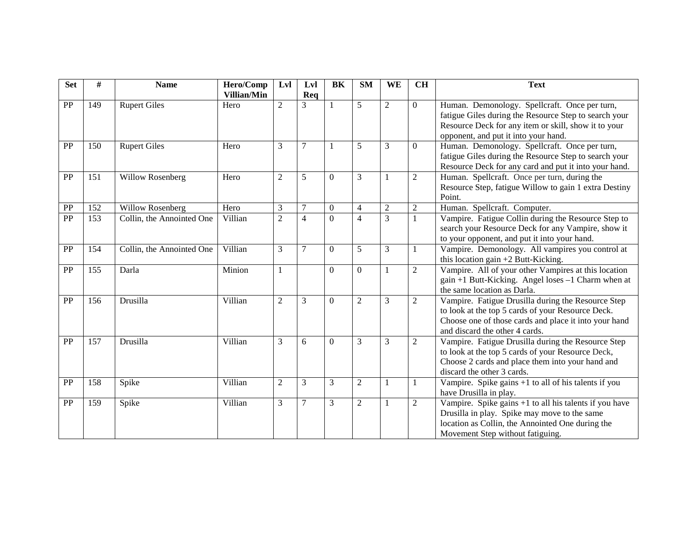| <b>Set</b> | #   | <b>Name</b>               | Hero/Comp<br><b>Villian/Min</b> | Lvl            | Lvl<br>Req     | BK               | <b>SM</b>        | WE             | <b>CH</b>      | <b>Text</b>                                                                                                                                                                                            |
|------------|-----|---------------------------|---------------------------------|----------------|----------------|------------------|------------------|----------------|----------------|--------------------------------------------------------------------------------------------------------------------------------------------------------------------------------------------------------|
| <b>PP</b>  | 149 | <b>Rupert Giles</b>       | Hero                            | $\overline{2}$ | 3              | $\mathbf{1}$     | 5                | $\overline{2}$ | $\Omega$       | Human. Demonology. Spellcraft. Once per turn,<br>fatigue Giles during the Resource Step to search your<br>Resource Deck for any item or skill, show it to your<br>opponent, and put it into your hand. |
| PP         | 150 | <b>Rupert Giles</b>       | Hero                            | 3              | $\overline{7}$ | 1                | 5                | 3              | $\overline{0}$ | Human. Demonology. Spellcraft. Once per turn,<br>fatigue Giles during the Resource Step to search your<br>Resource Deck for any card and put it into your hand.                                        |
| PP         | 151 | <b>Willow Rosenberg</b>   | Hero                            | 2              | 5              | $\Omega$         | 3                | -1             | 2              | Human. Spellcraft. Once per turn, during the<br>Resource Step, fatigue Willow to gain 1 extra Destiny<br>Point.                                                                                        |
| PP         | 152 | Willow Rosenberg          | Hero                            | 3              | $\tau$         | $\boldsymbol{0}$ | $\overline{4}$   | $\overline{2}$ | $\sqrt{2}$     | Human. Spellcraft. Computer.                                                                                                                                                                           |
| PP         | 153 | Collin, the Annointed One | Villian                         | $\overline{2}$ | $\overline{4}$ | $\mathbf{0}$     | $\overline{4}$   | 3              | -1             | Vampire. Fatigue Collin during the Resource Step to<br>search your Resource Deck for any Vampire, show it<br>to your opponent, and put it into your hand.                                              |
| PP         | 154 | Collin, the Annointed One | Villian                         | 3              | $\overline{7}$ | $\overline{0}$   | 5                | 3              | 1              | Vampire. Demonology. All vampires you control at<br>this location gain $+2$ Butt-Kicking.                                                                                                              |
| PP         | 155 | Darla                     | Minion                          | 1              |                | $\boldsymbol{0}$ | $\boldsymbol{0}$ | $\mathbf{1}$   | $\overline{2}$ | Vampire. All of your other Vampires at this location<br>gain +1 Butt-Kicking. Angel loses -1 Charm when at<br>the same location as Darla.                                                              |
| PP         | 156 | Drusilla                  | Villian                         | $\overline{c}$ | 3              | $\Omega$         | $\overline{2}$   | 3              | $\overline{2}$ | Vampire. Fatigue Drusilla during the Resource Step<br>to look at the top 5 cards of your Resource Deck.<br>Choose one of those cards and place it into your hand<br>and discard the other 4 cards.     |
| PP         | 157 | Drusilla                  | Villian                         | 3              | 6              | $\Omega$         | 3                | 3              | $\overline{2}$ | Vampire. Fatigue Drusilla during the Resource Step<br>to look at the top 5 cards of your Resource Deck,<br>Choose 2 cards and place them into your hand and<br>discard the other 3 cards.              |
| PP         | 158 | Spike                     | Villian                         | $\overline{c}$ | 3              | 3                | $\overline{2}$   | 1              | -1             | Vampire. Spike gains +1 to all of his talents if you<br>have Drusilla in play.                                                                                                                         |
| PP         | 159 | Spike                     | Villian                         | 3              | $\tau$         | 3                | $\overline{2}$   | $\mathbf{1}$   | $\overline{2}$ | Vampire. Spike gains $+1$ to all his talents if you have<br>Drusilla in play. Spike may move to the same<br>location as Collin, the Annointed One during the<br>Movement Step without fatiguing.       |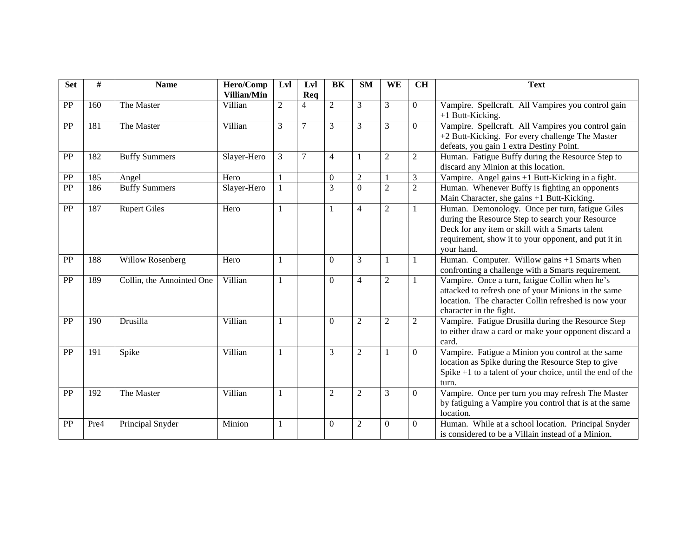| <b>Set</b> | #    | <b>Name</b>               | Hero/Comp   | Lvl            | Lvl            | BK               | <b>SM</b>      | WE             | <b>CH</b>      | <b>Text</b>                                                                                                                                                                                                                  |
|------------|------|---------------------------|-------------|----------------|----------------|------------------|----------------|----------------|----------------|------------------------------------------------------------------------------------------------------------------------------------------------------------------------------------------------------------------------------|
|            |      |                           | Villian/Min |                | Req            |                  |                |                |                |                                                                                                                                                                                                                              |
| PP         | 160  | The Master                | Villian     | $\overline{2}$ | $\overline{4}$ | $\overline{2}$   | 3              | 3              | $\Omega$       | Vampire. Spellcraft. All Vampires you control gain<br>+1 Butt-Kicking.                                                                                                                                                       |
| PP         | 181  | The Master                | Villian     | 3              | $\overline{7}$ | 3                | 3              | 3              | $\overline{0}$ | Vampire. Spellcraft. All Vampires you control gain<br>+2 Butt-Kicking. For every challenge The Master<br>defeats, you gain 1 extra Destiny Point.                                                                            |
| PP         | 182  | <b>Buffy Summers</b>      | Slayer-Hero | 3              | $\tau$         | $\overline{4}$   |                | $\overline{2}$ | $\overline{2}$ | Human. Fatigue Buffy during the Resource Step to<br>discard any Minion at this location.                                                                                                                                     |
| PP         | 185  | Angel                     | Hero        | $\mathbf{1}$   |                | $\boldsymbol{0}$ | $\overline{2}$ | $\mathbf{1}$   | 3              | Vampire. Angel gains +1 Butt-Kicking in a fight.                                                                                                                                                                             |
| PP         | 186  | <b>Buffy Summers</b>      | Slayer-Hero |                |                | $\overline{3}$   | $\Omega$       | $\overline{c}$ | $\overline{2}$ | Human. Whenever Buffy is fighting an opponents<br>Main Character, she gains +1 Butt-Kicking.                                                                                                                                 |
| PP         | 187  | <b>Rupert Giles</b>       | Hero        | 1              |                | 1                | $\overline{4}$ | $\sqrt{2}$     |                | Human. Demonology. Once per turn, fatigue Giles<br>during the Resource Step to search your Resource<br>Deck for any item or skill with a Smarts talent<br>requirement, show it to your opponent, and put it in<br>your hand. |
| PP         | 188  | Willow Rosenberg          | Hero        | $\mathbf{1}$   |                | $\theta$         | 3              | 1              |                | Human. Computer. Willow gains +1 Smarts when<br>confronting a challenge with a Smarts requirement.                                                                                                                           |
| PP         | 189  | Collin, the Annointed One | Villian     | 1              |                | $\mathbf{0}$     | $\overline{4}$ | $\sqrt{2}$     |                | Vampire. Once a turn, fatigue Collin when he's<br>attacked to refresh one of your Minions in the same<br>location. The character Collin refreshed is now your<br>character in the fight.                                     |
| PP         | 190  | Drusilla                  | Villian     |                |                | $\Omega$         | $\mathfrak{2}$ | $\mathfrak{2}$ | 2              | Vampire. Fatigue Drusilla during the Resource Step<br>to either draw a card or make your opponent discard a<br>card.                                                                                                         |
| PP         | 191  | Spike                     | Villian     | $\mathbf{1}$   |                | 3                | $\mathfrak{2}$ | 1              | $\Omega$       | Vampire. Fatigue a Minion you control at the same<br>location as Spike during the Resource Step to give<br>Spike $+1$ to a talent of your choice, until the end of the<br>turn.                                              |
| PP         | 192  | The Master                | Villian     | 1              |                | $\overline{c}$   | 2              | 3              | $\overline{0}$ | Vampire. Once per turn you may refresh The Master<br>by fatiguing a Vampire you control that is at the same<br>location.                                                                                                     |
| <b>PP</b>  | Pre4 | Principal Snyder          | Minion      | 1              |                | $\overline{0}$   | 2              | $\mathbf{0}$   | $\mathbf{0}$   | Human. While at a school location. Principal Snyder<br>is considered to be a Villain instead of a Minion.                                                                                                                    |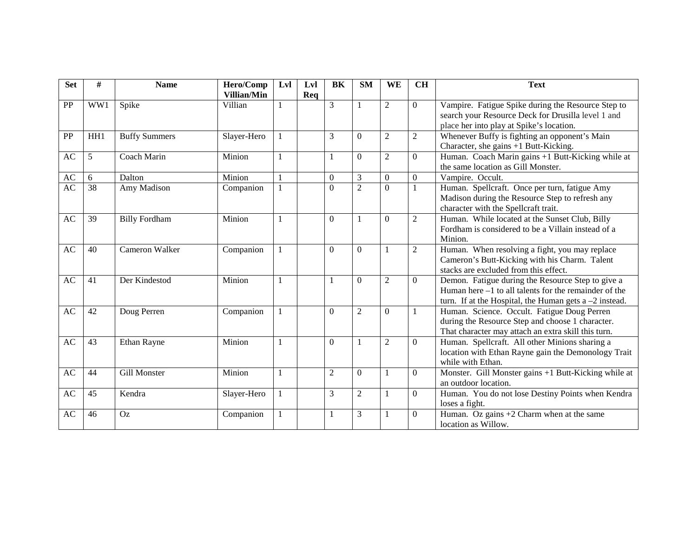| <b>Set</b> | #   | <b>Name</b>          | Hero/Comp<br>Villian/Min | Lvl            | Lvl<br>Req | BK             | <b>SM</b>      | WE             | <b>CH</b>      | <b>Text</b>                                                                                                                                                               |
|------------|-----|----------------------|--------------------------|----------------|------------|----------------|----------------|----------------|----------------|---------------------------------------------------------------------------------------------------------------------------------------------------------------------------|
| PP         | WW1 | Spike                | Villian                  | $\mathbf{1}$   |            | 3              |                | $\overline{2}$ | $\theta$       | Vampire. Fatigue Spike during the Resource Step to<br>search your Resource Deck for Drusilla level 1 and<br>place her into play at Spike's location.                      |
| PP         | HH1 | <b>Buffy Summers</b> | Slayer-Hero              |                |            | 3              | $\Omega$       | $\overline{2}$ | $\overline{2}$ | Whenever Buffy is fighting an opponent's Main<br>Character, she gains +1 Butt-Kicking.                                                                                    |
| AC         | 5   | Coach Marin          | Minion                   | $\mathbf{1}$   |            | 1              | $\Omega$       | $\overline{2}$ | $\overline{0}$ | Human. Coach Marin gains +1 Butt-Kicking while at<br>the same location as Gill Monster.                                                                                   |
| AC         | 6   | Dalton               | Minion                   | $\overline{1}$ |            | $\theta$       | 3              | $\overline{0}$ | $\overline{0}$ | Vampire. Occult.                                                                                                                                                          |
| AC         | 38  | Amy Madison          | Companion                | $\mathbf{1}$   |            | $\Omega$       | $\overline{2}$ | $\overline{0}$ | 1              | Human. Spellcraft. Once per turn, fatigue Amy<br>Madison during the Resource Step to refresh any<br>character with the Spellcraft trait.                                  |
| AC         | 39  | <b>Billy Fordham</b> | Minion                   | $\mathbf{1}$   |            | $\Omega$       |                | $\Omega$       | $\overline{2}$ | Human. While located at the Sunset Club, Billy<br>Fordham is considered to be a Villain instead of a<br>Minion.                                                           |
| AC         | 40  | Cameron Walker       | Companion                |                |            | $\overline{0}$ | $\Omega$       | $\mathbf{1}$   | $\overline{2}$ | Human. When resolving a fight, you may replace<br>Cameron's Butt-Kicking with his Charm. Talent<br>stacks are excluded from this effect.                                  |
| AC         | 41  | Der Kindestod        | Minion                   |                |            | $\mathbf{1}$   | $\Omega$       | $\overline{c}$ | $\Omega$       | Demon. Fatigue during the Resource Step to give a<br>Human here $-1$ to all talents for the remainder of the<br>turn. If at the Hospital, the Human gets $a - 2$ instead. |
| AC         | 42  | Doug Perren          | Companion                | $\mathbf{1}$   |            | $\Omega$       | $\overline{2}$ | $\Omega$       | -1             | Human. Science. Occult. Fatigue Doug Perren<br>during the Resource Step and choose 1 character.<br>That character may attach an extra skill this turn.                    |
| AC         | 43  | Ethan Rayne          | Minion                   | $\mathbf{1}$   |            | $\theta$       |                | $\mathfrak{2}$ | $\overline{0}$ | Human. Spellcraft. All other Minions sharing a<br>location with Ethan Rayne gain the Demonology Trait<br>while with Ethan.                                                |
| AC         | 44  | <b>Gill Monster</b>  | Minion                   | $\mathbf{1}$   |            | $\mathbf{2}$   | $\Omega$       | 1              | $\Omega$       | Monster. Gill Monster gains +1 Butt-Kicking while at<br>an outdoor location.                                                                                              |
| AC         | 45  | Kendra               | Slayer-Hero              | $\mathbf{1}$   |            | 3              | $\overline{2}$ | $\mathbf{1}$   | $\theta$       | Human. You do not lose Destiny Points when Kendra<br>loses a fight.                                                                                                       |
| AC         | 46  | Oz                   | Companion                | $\mathbf{1}$   |            | 1              | 3              | 1              | $\overline{0}$ | Human. Oz gains $+2$ Charm when at the same<br>location as Willow.                                                                                                        |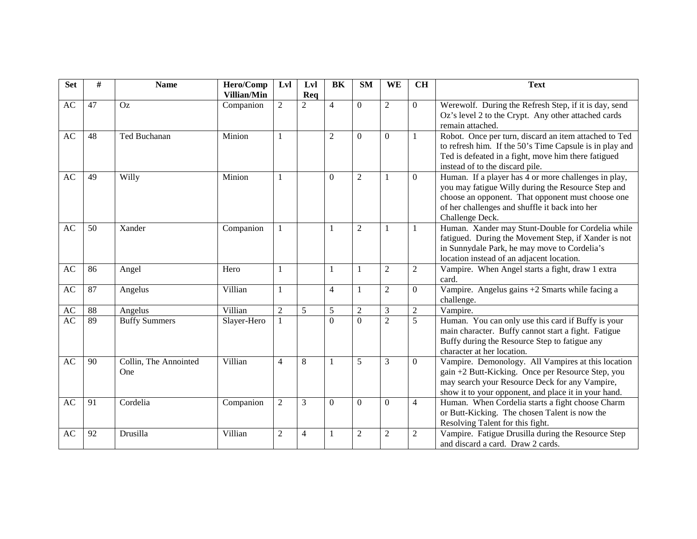| <b>Set</b> | #  | <b>Name</b>                  | Hero/Comp<br>Villian/Min | Lyl            | Lvl<br>Req     | BK             | <b>SM</b>      | WE             | <b>CH</b>      | <b>Text</b>                                                                                                                                                                                                                          |
|------------|----|------------------------------|--------------------------|----------------|----------------|----------------|----------------|----------------|----------------|--------------------------------------------------------------------------------------------------------------------------------------------------------------------------------------------------------------------------------------|
| AC         | 47 | <b>Oz</b>                    | Companion                | $\overline{2}$ | $\overline{2}$ | $\overline{4}$ | $\Omega$       | $\overline{2}$ | $\mathbf{0}$   | Werewolf. During the Refresh Step, if it is day, send<br>Oz's level 2 to the Crypt. Any other attached cards<br>remain attached.                                                                                                     |
| AC         | 48 | Ted Buchanan                 | Minion                   | 1              |                | $\overline{2}$ | $\Omega$       | $\Omega$       | -1             | Robot. Once per turn, discard an item attached to Ted<br>to refresh him. If the 50's Time Capsule is in play and<br>Ted is defeated in a fight, move him there fatigued<br>instead of to the discard pile.                           |
| AC         | 49 | Willy                        | Minion                   | 1              |                | $\Omega$       | $\overline{2}$ | 1              | $\overline{0}$ | Human. If a player has 4 or more challenges in play,<br>you may fatigue Willy during the Resource Step and<br>choose an opponent. That opponent must choose one<br>of her challenges and shuffle it back into her<br>Challenge Deck. |
| AC         | 50 | Xander                       | Companion                | 1              |                | 1              | $\overline{2}$ | 1              | -1             | Human. Xander may Stunt-Double for Cordelia while<br>fatigued. During the Movement Step, if Xander is not<br>in Sunnydale Park, he may move to Cordelia's<br>location instead of an adjacent location.                               |
| AC         | 86 | Angel                        | Hero                     | 1              |                | 1              | 1              | $\mathfrak{2}$ | $\overline{2}$ | Vampire. When Angel starts a fight, draw 1 extra<br>card.                                                                                                                                                                            |
| AC         | 87 | Angelus                      | Villian                  | 1              |                | $\overline{4}$ | 1              | $\overline{2}$ | $\Omega$       | Vampire. Angelus gains +2 Smarts while facing a<br>challenge.                                                                                                                                                                        |
| AC         | 88 | Angelus                      | Villian                  | $\overline{2}$ | 5              | 5              | $\overline{2}$ | 3              | $\sqrt{2}$     | Vampire.                                                                                                                                                                                                                             |
| AC         | 89 | <b>Buffy Summers</b>         | Slayer-Hero              | 1              |                | $\theta$       | $\Omega$       | $\overline{2}$ | $\overline{5}$ | Human. You can only use this card if Buffy is your<br>main character. Buffy cannot start a fight. Fatigue<br>Buffy during the Resource Step to fatigue any<br>character at her location.                                             |
| AC         | 90 | Collin, The Annointed<br>One | Villian                  | 4              | $\,8\,$        | 1              | 5              | 3              | $\overline{0}$ | Vampire. Demonology. All Vampires at this location<br>gain +2 Butt-Kicking. Once per Resource Step, you<br>may search your Resource Deck for any Vampire,<br>show it to your opponent, and place it in your hand.                    |
| AC         | 91 | Cordelia                     | Companion                | $\overline{c}$ | 3              | $\theta$       | $\Omega$       | $\Omega$       | $\overline{4}$ | Human. When Cordelia starts a fight choose Charm<br>or Butt-Kicking. The chosen Talent is now the<br>Resolving Talent for this fight.                                                                                                |
| AC         | 92 | Drusilla                     | Villian                  | $\overline{c}$ | $\overline{4}$ |                | $\sqrt{2}$     | $\overline{2}$ | $\sqrt{2}$     | Vampire. Fatigue Drusilla during the Resource Step<br>and discard a card. Draw 2 cards.                                                                                                                                              |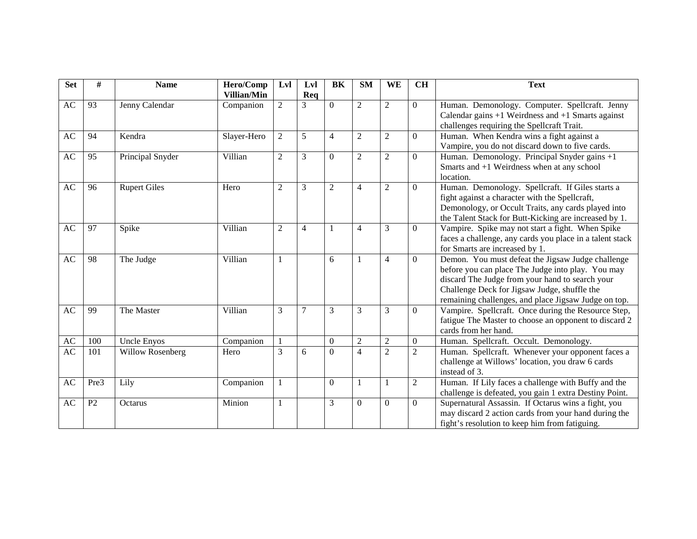| <b>Set</b> | #              | <b>Name</b>             | Hero/Comp   | Lvl            | Lvl            | BK             | <b>SM</b>      | WE             | <b>CH</b>      | <b>Text</b>                                                                                                                                                                                                                                                       |
|------------|----------------|-------------------------|-------------|----------------|----------------|----------------|----------------|----------------|----------------|-------------------------------------------------------------------------------------------------------------------------------------------------------------------------------------------------------------------------------------------------------------------|
|            |                |                         | Villian/Min |                | Req            |                |                |                |                |                                                                                                                                                                                                                                                                   |
| AC         | 93             | Jenny Calendar          | Companion   | $\overline{2}$ | $\overline{3}$ | $\overline{0}$ | $\overline{c}$ | $\overline{2}$ | $\mathbf{0}$   | Human. Demonology. Computer. Spellcraft. Jenny<br>Calendar gains $+1$ Weirdness and $+1$ Smarts against<br>challenges requiring the Spellcraft Trait.                                                                                                             |
| AC         | 94             | Kendra                  | Slayer-Hero | 2              | 5              | $\overline{4}$ | $\overline{2}$ | $\mathfrak{2}$ | $\overline{0}$ | Human. When Kendra wins a fight against a<br>Vampire, you do not discard down to five cards.                                                                                                                                                                      |
| AC         | 95             | Principal Snyder        | Villian     | $\overline{2}$ | $\overline{3}$ | $\mathbf{0}$   | $\overline{2}$ | $\overline{2}$ | $\Omega$       | Human. Demonology. Principal Snyder gains +1<br>Smarts and $+1$ Weirdness when at any school<br>location.                                                                                                                                                         |
| AC         | 96             | <b>Rupert Giles</b>     | Hero        | $\overline{2}$ | 3              | $\overline{2}$ | $\overline{4}$ | $\overline{2}$ | $\theta$       | Human. Demonology. Spellcraft. If Giles starts a<br>fight against a character with the Spellcraft,<br>Demonology, or Occult Traits, any cards played into<br>the Talent Stack for Butt-Kicking are increased by 1.                                                |
| AC         | 97             | Spike                   | Villian     | $\overline{2}$ | 4              |                | $\overline{4}$ | 3              | $\Omega$       | Vampire. Spike may not start a fight. When Spike<br>faces a challenge, any cards you place in a talent stack<br>for Smarts are increased by 1.                                                                                                                    |
| AC         | 98             | The Judge               | Villian     |                |                | 6              | 1              | $\overline{4}$ | $\Omega$       | Demon. You must defeat the Jigsaw Judge challenge<br>before you can place The Judge into play. You may<br>discard The Judge from your hand to search your<br>Challenge Deck for Jigsaw Judge, shuffle the<br>remaining challenges, and place Jigsaw Judge on top. |
| AC         | 99             | The Master              | Villian     | 3              | $\overline{7}$ | 3              | 3              | 3              | $\Omega$       | Vampire. Spellcraft. Once during the Resource Step,<br>fatigue The Master to choose an opponent to discard 2<br>cards from her hand.                                                                                                                              |
| AC         | 100            | <b>Uncle Enyos</b>      | Companion   |                |                | $\Omega$       | $\overline{2}$ | $\sqrt{2}$     | $\overline{0}$ | Human. Spellcraft. Occult. Demonology.                                                                                                                                                                                                                            |
| AC         | 101            | <b>Willow Rosenberg</b> | Hero        | 3              | 6              | $\Omega$       | $\overline{4}$ | $\overline{2}$ | $\overline{2}$ | Human. Spellcraft. Whenever your opponent faces a<br>challenge at Willows' location, you draw 6 cards<br>instead of 3.                                                                                                                                            |
| AC         | Pre3           | Lily                    | Companion   |                |                | $\Omega$       | $\mathbf{1}$   | 1              | $\overline{2}$ | Human. If Lily faces a challenge with Buffy and the<br>challenge is defeated, you gain 1 extra Destiny Point.                                                                                                                                                     |
| AC         | P <sub>2</sub> | Octarus                 | Minion      | 1              |                | 3              | $\theta$       | $\Omega$       | $\Omega$       | Supernatural Assassin. If Octarus wins a fight, you<br>may discard 2 action cards from your hand during the<br>fight's resolution to keep him from fatiguing.                                                                                                     |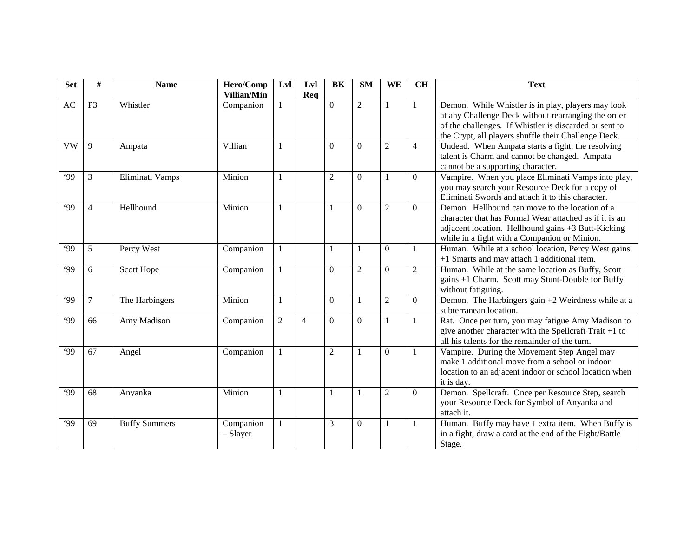| <b>Set</b> | #              | <b>Name</b>          | Hero/Comp<br><b>Villian/Min</b> | Lyl            | Lvl<br>Req     | BK             | <b>SM</b>        | WE               | <b>CH</b>      | <b>Text</b>                                                                                                                                                                                                                 |
|------------|----------------|----------------------|---------------------------------|----------------|----------------|----------------|------------------|------------------|----------------|-----------------------------------------------------------------------------------------------------------------------------------------------------------------------------------------------------------------------------|
| AC         | P <sub>3</sub> | Whistler             | Companion                       |                |                | $\overline{0}$ | $\overline{2}$   | $\mathbf{1}$     | -1             | Demon. While Whistler is in play, players may look<br>at any Challenge Deck without rearranging the order<br>of the challenges. If Whistler is discarded or sent to<br>the Crypt, all players shuffle their Challenge Deck. |
| <b>VW</b>  | 9              | Ampata               | Villian                         | 1              |                | $\theta$       | $\Omega$         | $\mathfrak 2$    | $\overline{4}$ | Undead. When Ampata starts a fight, the resolving<br>talent is Charm and cannot be changed. Ampata<br>cannot be a supporting character.                                                                                     |
| .99        | 3              | Eliminati Vamps      | Minion                          | 1              |                | $\overline{2}$ | $\Omega$         | $\mathbf{1}$     | $\theta$       | Vampire. When you place Eliminati Vamps into play,<br>you may search your Resource Deck for a copy of<br>Eliminati Swords and attach it to this character.                                                                  |
| .99        | 4              | Hellhound            | Minion                          | 1              |                | 1              | $\Omega$         | $\overline{c}$   | $\Omega$       | Demon. Hellhound can move to the location of a<br>character that has Formal Wear attached as if it is an<br>adjacent location. Hellhound gains +3 Butt-Kicking<br>while in a fight with a Companion or Minion.              |
| .99        | 5              | Percy West           | Companion                       | -1             |                | 1              | 1                | $\boldsymbol{0}$ | -1             | Human. While at a school location, Percy West gains<br>+1 Smarts and may attach 1 additional item.                                                                                                                          |
| .99        | 6              | Scott Hope           | Companion                       | 1              |                | $\theta$       | $\mathfrak{2}$   | $\overline{0}$   | $\overline{2}$ | Human. While at the same location as Buffy, Scott<br>gains +1 Charm. Scott may Stunt-Double for Buffy<br>without fatiguing.                                                                                                 |
| .99        | 7              | The Harbingers       | Minion                          | $\mathbf{1}$   |                | $\mathbf{0}$   | 1                | $\overline{2}$   | $\Omega$       | Demon. The Harbingers gain $+2$ Weirdness while at a<br>subterranean location.                                                                                                                                              |
| <b>.99</b> | 66             | Amy Madison          | Companion                       | $\overline{2}$ | $\overline{4}$ | $\mathbf{0}$   | $\overline{0}$   | $\mathbf{1}$     | $\mathbf{1}$   | Rat. Once per turn, you may fatigue Amy Madison to<br>give another character with the Spellcraft Trait $+1$ to<br>all his talents for the remainder of the turn.                                                            |
| .99        | 67             | Angel                | Companion                       | 1              |                | $\overline{2}$ | 1                | $\mathbf{0}$     | -1             | Vampire. During the Movement Step Angel may<br>make 1 additional move from a school or indoor<br>location to an adjacent indoor or school location when<br>it is day.                                                       |
| .99        | 68             | Anyanka              | Minion                          | 1              |                | 1              | 1                | $\overline{c}$   | $\mathbf{0}$   | Demon. Spellcraft. Once per Resource Step, search<br>your Resource Deck for Symbol of Anyanka and<br>attach it.                                                                                                             |
| .99        | 69             | <b>Buffy Summers</b> | Companion<br>- Slayer           | $\mathbf{1}$   |                | 3              | $\boldsymbol{0}$ | $\mathbf{1}$     | -1             | Human. Buffy may have 1 extra item. When Buffy is<br>in a fight, draw a card at the end of the Fight/Battle<br>Stage.                                                                                                       |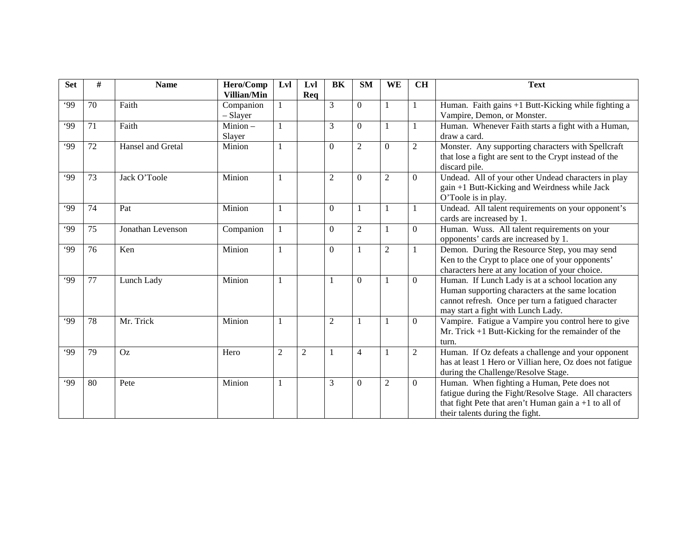| <b>Set</b> | #  | <b>Name</b>       | Hero/Comp          | Lvl          | Lvl            | BK             | <b>SM</b>      | <b>WE</b>      | <b>CH</b>      | <b>Text</b>                                              |
|------------|----|-------------------|--------------------|--------------|----------------|----------------|----------------|----------------|----------------|----------------------------------------------------------|
|            |    |                   | <b>Villian/Min</b> |              | Req            |                |                |                |                |                                                          |
| .99        | 70 | Faith             | Companion          |              |                | 3              | $\Omega$       | 1              | 1              | Human. Faith gains +1 Butt-Kicking while fighting a      |
|            |    |                   | - Slayer           |              |                |                |                |                |                | Vampire, Demon, or Monster.                              |
| .99        | 71 | Faith             | $Minion -$         | 1            |                | 3              | $\Omega$       | 1              | 1              | Human. Whenever Faith starts a fight with a Human,       |
|            |    |                   | Slayer             |              |                |                |                |                |                | draw a card.                                             |
| .99        | 72 | Hansel and Gretal | Minion             | 1            |                | $\Omega$       | $\overline{2}$ | $\mathbf{0}$   | $\overline{2}$ | Monster. Any supporting characters with Spellcraft       |
|            |    |                   |                    |              |                |                |                |                |                | that lose a fight are sent to the Crypt instead of the   |
|            |    |                   |                    |              |                |                |                |                |                | discard pile.                                            |
| .99        | 73 | Jack O'Toole      | Minion             | 1            |                | $\overline{2}$ | $\Omega$       | $\overline{2}$ | $\Omega$       | Undead. All of your other Undead characters in play      |
|            |    |                   |                    |              |                |                |                |                |                | gain +1 Butt-Kicking and Weirdness while Jack            |
|            |    |                   |                    |              |                |                |                |                |                | O'Toole is in play.                                      |
| .99        | 74 | Pat               | Minion             | 1            |                | $\Omega$       | $\mathbf{1}$   | 1              |                | Undead. All talent requirements on your opponent's       |
|            |    |                   |                    |              |                |                |                |                |                | cards are increased by 1.                                |
| .99        | 75 | Jonathan Levenson | Companion          | 1            |                | $\Omega$       | $\overline{2}$ | 1              | $\Omega$       | Human. Wuss. All talent requirements on your             |
|            |    |                   |                    |              |                |                |                |                |                | opponents' cards are increased by 1.                     |
| .99        | 76 | Ken               | Minion             | 1            |                | $\Omega$       | $\mathbf{1}$   | $\overline{2}$ |                | Demon. During the Resource Step, you may send            |
|            |    |                   |                    |              |                |                |                |                |                | Ken to the Crypt to place one of your opponents'         |
|            |    |                   |                    |              |                |                |                |                |                | characters here at any location of your choice.          |
| .99        | 77 | Lunch Lady        | Minion             | 1            |                | 1              | $\theta$       | 1              | $\Omega$       | Human. If Lunch Lady is at a school location any         |
|            |    |                   |                    |              |                |                |                |                |                | Human supporting characters at the same location         |
|            |    |                   |                    |              |                |                |                |                |                | cannot refresh. Once per turn a fatigued character       |
|            |    |                   |                    |              |                |                |                |                |                | may start a fight with Lunch Lady.                       |
| .99        | 78 | Mr. Trick         | Minion             | 1            |                | $\overline{2}$ | 1              | 1              | $\overline{0}$ | Vampire. Fatigue a Vampire you control here to give      |
|            |    |                   |                    |              |                |                |                |                |                | Mr. Trick $+1$ Butt-Kicking for the remainder of the     |
|            |    |                   |                    |              |                |                |                |                |                | turn.                                                    |
| .99        | 79 | <b>Oz</b>         | Hero               | $\mathbf{2}$ | $\overline{2}$ |                | $\overline{4}$ | 1              | 2              | Human. If Oz defeats a challenge and your opponent       |
|            |    |                   |                    |              |                |                |                |                |                | has at least 1 Hero or Villian here, Oz does not fatigue |
|            |    |                   |                    |              |                |                |                |                |                | during the Challenge/Resolve Stage.                      |
| ۰99        | 80 | Pete              | Minion             | 1            |                | 3              | $\Omega$       | $\mathfrak{2}$ | $\Omega$       | Human. When fighting a Human, Pete does not              |
|            |    |                   |                    |              |                |                |                |                |                | fatigue during the Fight/Resolve Stage. All characters   |
|            |    |                   |                    |              |                |                |                |                |                | that fight Pete that aren't Human gain $a + 1$ to all of |
|            |    |                   |                    |              |                |                |                |                |                | their talents during the fight.                          |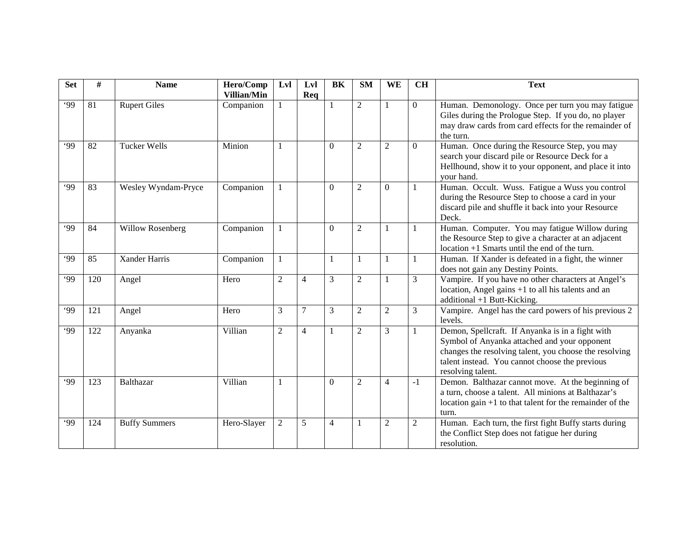| <b>Set</b> | #   | <b>Name</b>          | Hero/Comp<br>Villian/Min | Lyl            | Lyl<br>Req     | <b>BK</b>      | <b>SM</b>      | WE             | <b>CH</b>      | <b>Text</b>                                                                                                                                                                                                                       |
|------------|-----|----------------------|--------------------------|----------------|----------------|----------------|----------------|----------------|----------------|-----------------------------------------------------------------------------------------------------------------------------------------------------------------------------------------------------------------------------------|
| .99        | 81  | <b>Rupert Giles</b>  | Companion                |                |                | 1              | $\overline{2}$ | $\mathbf{1}$   | $\Omega$       | Human. Demonology. Once per turn you may fatigue<br>Giles during the Prologue Step. If you do, no player<br>may draw cards from card effects for the remainder of<br>the turn.                                                    |
| 99'        | 82  | <b>Tucker Wells</b>  | Minion                   | 1              |                | $\Omega$       | 2              | $\overline{2}$ | $\Omega$       | Human. Once during the Resource Step, you may<br>search your discard pile or Resource Deck for a<br>Hellhound, show it to your opponent, and place it into<br>your hand.                                                          |
| .99        | 83  | Wesley Wyndam-Pryce  | Companion                |                |                | $\Omega$       | $\overline{2}$ | $\overline{0}$ | -1             | Human. Occult. Wuss. Fatigue a Wuss you control<br>during the Resource Step to choose a card in your<br>discard pile and shuffle it back into your Resource<br>Deck.                                                              |
| 99         | 84  | Willow Rosenberg     | Companion                | 1              |                | $\Omega$       | $\overline{2}$ | 1              | -1             | Human. Computer. You may fatigue Willow during<br>the Resource Step to give a character at an adjacent<br>$location +1$ Smarts until the end of the turn.                                                                         |
| .99        | 85  | <b>Xander Harris</b> | Companion                | 1              |                | 1              | 1              | $\mathbf{1}$   | -1             | Human. If Xander is defeated in a fight, the winner<br>does not gain any Destiny Points.                                                                                                                                          |
| .99        | 120 | Angel                | Hero                     | $\overline{2}$ | $\overline{4}$ | 3              | $\overline{2}$ | $\mathbf{1}$   | 3              | Vampire. If you have no other characters at Angel's<br>location, Angel gains +1 to all his talents and an<br>additional +1 Butt-Kicking.                                                                                          |
| .99        | 121 | Angel                | Hero                     | 3              | $\tau$         | 3              | $\overline{c}$ | $\overline{2}$ | 3              | Vampire. Angel has the card powers of his previous 2<br>levels.                                                                                                                                                                   |
| 99         | 122 | Anyanka              | Villian                  | $\overline{c}$ | $\overline{4}$ | 1              | $\overline{2}$ | 3              | -1             | Demon, Spellcraft. If Anyanka is in a fight with<br>Symbol of Anyanka attached and your opponent<br>changes the resolving talent, you choose the resolving<br>talent instead. You cannot choose the previous<br>resolving talent. |
| .99        | 123 | Balthazar            | Villian                  | 1              |                | $\theta$       | $\overline{2}$ | $\overline{4}$ | $-1$           | Demon. Balthazar cannot move. At the beginning of<br>a turn, choose a talent. All minions at Balthazar's<br>location gain $+1$ to that talent for the remainder of the<br>turn.                                                   |
| 99'        | 124 | <b>Buffy Summers</b> | Hero-Slayer              | $\overline{2}$ | 5              | $\overline{4}$ | 1              | $\overline{2}$ | $\overline{2}$ | Human. Each turn, the first fight Buffy starts during<br>the Conflict Step does not fatigue her during<br>resolution.                                                                                                             |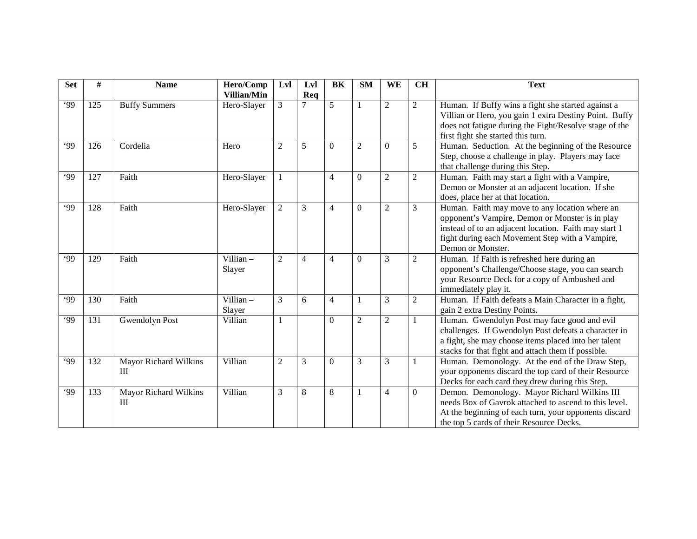| <b>Set</b> | #   | <b>Name</b>                         | Hero/Comp             | Lvl            | Lvl            | <b>BK</b>      | <b>SM</b>      | <b>WE</b>      | <b>CH</b>      | <b>Text</b>                                                                                                                                                                                                                        |
|------------|-----|-------------------------------------|-----------------------|----------------|----------------|----------------|----------------|----------------|----------------|------------------------------------------------------------------------------------------------------------------------------------------------------------------------------------------------------------------------------------|
|            |     |                                     | Villian/Min           |                | Req            |                |                |                |                |                                                                                                                                                                                                                                    |
| .99        | 125 | <b>Buffy Summers</b>                | Hero-Slayer           | 3              | $\overline{7}$ | $\overline{5}$ |                | $\overline{2}$ | $\overline{2}$ | Human. If Buffy wins a fight she started against a<br>Villian or Hero, you gain 1 extra Destiny Point. Buffy<br>does not fatigue during the Fight/Resolve stage of the<br>first fight she started this turn.                       |
| 99         | 126 | Cordelia                            | Hero                  | $\overline{2}$ | 5              | $\Omega$       | 2              | $\Omega$       | 5              | Human. Seduction. At the beginning of the Resource<br>Step, choose a challenge in play. Players may face<br>that challenge during this Step.                                                                                       |
| 99         | 127 | Faith                               | Hero-Slayer           |                |                | $\overline{4}$ | $\Omega$       | $\overline{2}$ | $\mathbf{2}$   | Human. Faith may start a fight with a Vampire,<br>Demon or Monster at an adjacent location. If she<br>does, place her at that location.                                                                                            |
| 99         | 128 | Faith                               | Hero-Slayer           | $\overline{2}$ | 3              | $\overline{4}$ | $\Omega$       | $\overline{c}$ | 3              | Human. Faith may move to any location where an<br>opponent's Vampire, Demon or Monster is in play<br>instead of to an adjacent location. Faith may start 1<br>fight during each Movement Step with a Vampire,<br>Demon or Monster. |
| 99         | 129 | Faith                               | Villian $-$<br>Slayer | $\overline{2}$ | $\overline{4}$ | $\overline{4}$ | $\Omega$       | 3              | $\overline{2}$ | Human. If Faith is refreshed here during an<br>opponent's Challenge/Choose stage, you can search<br>your Resource Deck for a copy of Ambushed and<br>immediately play it.                                                          |
| .99        | 130 | Faith                               | Villian $-$<br>Slayer | 3              | 6              | $\overline{4}$ | 1              | 3              | $\overline{2}$ | Human. If Faith defeats a Main Character in a fight,<br>gain 2 extra Destiny Points.                                                                                                                                               |
| .99        | 131 | <b>Gwendolyn Post</b>               | Villian               | 1              |                | $\mathbf{0}$   | $\overline{2}$ | $\overline{2}$ | $\mathbf{1}$   | Human. Gwendolyn Post may face good and evil<br>challenges. If Gwendolyn Post defeats a character in<br>a fight, she may choose items placed into her talent<br>stacks for that fight and attach them if possible.                 |
| .99        | 132 | <b>Mayor Richard Wilkins</b><br>III | Villian               | $\overline{c}$ | 3              | $\Omega$       | 3              | 3              | -1             | Human. Demonology. At the end of the Draw Step,<br>your opponents discard the top card of their Resource<br>Decks for each card they drew during this Step.                                                                        |
| .99        | 133 | Mayor Richard Wilkins<br>Ш          | Villian               | 3              | 8              | 8              | 1              | $\overline{4}$ | $\Omega$       | Demon. Demonology. Mayor Richard Wilkins III<br>needs Box of Gavrok attached to ascend to this level.<br>At the beginning of each turn, your opponents discard<br>the top 5 cards of their Resource Decks.                         |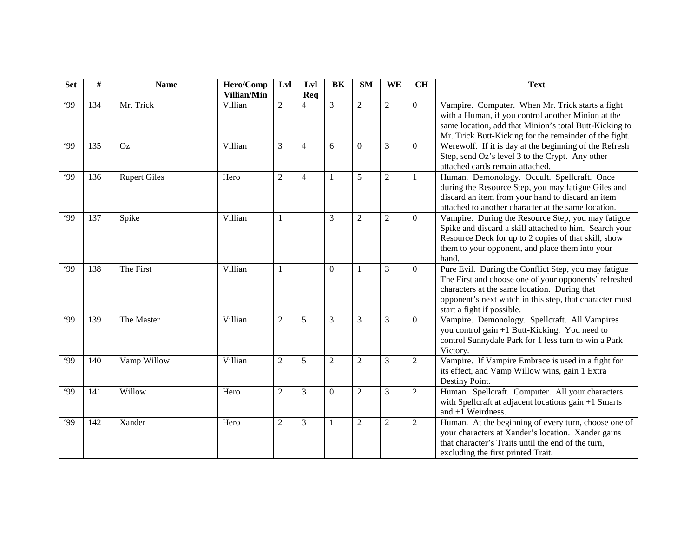| <b>Set</b> | #   | <b>Name</b>         | Hero/Comp<br>Villian/Min | Lvl            | Lvl<br>Req     | BK             | <b>SM</b>        | WE               | <b>CH</b>      | <b>Text</b>                                                                                                                                                                                                                                            |
|------------|-----|---------------------|--------------------------|----------------|----------------|----------------|------------------|------------------|----------------|--------------------------------------------------------------------------------------------------------------------------------------------------------------------------------------------------------------------------------------------------------|
| .99        | 134 | Mr. Trick           | Villian                  | $\overline{2}$ | $\overline{4}$ | 3              | $\overline{2}$   | $\overline{2}$   | $\mathbf{0}$   | Vampire. Computer. When Mr. Trick starts a fight<br>with a Human, if you control another Minion at the<br>same location, add that Minion's total Butt-Kicking to<br>Mr. Trick Butt-Kicking for the remainder of the fight.                             |
| 99         | 135 | Oz                  | Villian                  | 3              | $\overline{4}$ | 6              | $\Omega$         | 3                | $\mathbf{0}$   | Werewolf. If it is day at the beginning of the Refresh<br>Step, send Oz's level 3 to the Crypt. Any other<br>attached cards remain attached.                                                                                                           |
| .99        | 136 | <b>Rupert Giles</b> | Hero                     | $\overline{2}$ | $\overline{4}$ | 1              | 5                | $\overline{2}$   | 1              | Human. Demonology. Occult. Spellcraft. Once<br>during the Resource Step, you may fatigue Giles and<br>discard an item from your hand to discard an item<br>attached to another character at the same location.                                         |
| .99        | 137 | Spike               | Villian                  | 1              |                | 3              | $\boldsymbol{2}$ | $\boldsymbol{2}$ | $\overline{0}$ | Vampire. During the Resource Step, you may fatigue<br>Spike and discard a skill attached to him. Search your<br>Resource Deck for up to 2 copies of that skill, show<br>them to your opponent, and place them into your<br>hand.                       |
| .99        | 138 | The First           | Villian                  | 1              |                | $\Omega$       | 1                | 3                | $\overline{0}$ | Pure Evil. During the Conflict Step, you may fatigue<br>The First and choose one of your opponents' refreshed<br>characters at the same location. During that<br>opponent's next watch in this step, that character must<br>start a fight if possible. |
| .99        | 139 | The Master          | Villian                  | $\overline{2}$ | 5              | 3              | 3                | 3                | $\theta$       | Vampire. Demonology. Spellcraft. All Vampires<br>you control gain +1 Butt-Kicking. You need to<br>control Sunnydale Park for 1 less turn to win a Park<br>Victory.                                                                                     |
| .99        | 140 | Vamp Willow         | Villian                  | $\overline{2}$ | 5              | $\overline{2}$ | $\overline{2}$   | 3                | 2              | Vampire. If Vampire Embrace is used in a fight for<br>its effect, and Vamp Willow wins, gain 1 Extra<br>Destiny Point.                                                                                                                                 |
| .99        | 141 | Willow              | Hero                     | $\overline{c}$ | 3              | $\Omega$       | $\overline{c}$   | 3                | $\mathfrak{2}$ | Human. Spellcraft. Computer. All your characters<br>with Spellcraft at adjacent locations gain +1 Smarts<br>and $+1$ Weirdness.                                                                                                                        |
| 99         | 142 | Xander              | Hero                     | $\overline{2}$ | 3              | 1              | $\overline{2}$   | $\overline{2}$   | $\overline{2}$ | Human. At the beginning of every turn, choose one of<br>your characters at Xander's location. Xander gains<br>that character's Traits until the end of the turn,<br>excluding the first printed Trait.                                                 |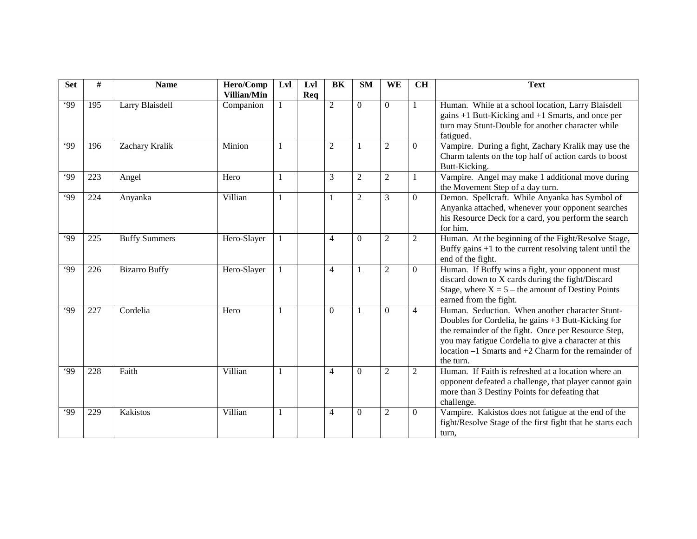| <b>Set</b> | #   | <b>Name</b>          | Hero/Comp<br>Villian/Min | Lvl | Lvl<br>Req | <b>BK</b>      | <b>SM</b>      | <b>WE</b>      | <b>CH</b>      | <b>Text</b>                                                                                                                                                                                                                                                                                   |
|------------|-----|----------------------|--------------------------|-----|------------|----------------|----------------|----------------|----------------|-----------------------------------------------------------------------------------------------------------------------------------------------------------------------------------------------------------------------------------------------------------------------------------------------|
| .99        | 195 | Larry Blaisdell      | Companion                |     |            | $\overline{2}$ | $\Omega$       | $\Omega$       | 1              | Human. While at a school location, Larry Blaisdell<br>gains +1 Butt-Kicking and +1 Smarts, and once per<br>turn may Stunt-Double for another character while<br>fatigued.                                                                                                                     |
| 99         | 196 | Zachary Kralik       | Minion                   | 1   |            | $\overline{2}$ | -1             | $\overline{c}$ | $\Omega$       | Vampire. During a fight, Zachary Kralik may use the<br>Charm talents on the top half of action cards to boost<br>Butt-Kicking.                                                                                                                                                                |
| .99        | 223 | Angel                | Hero                     | 1   |            | 3              | $\overline{2}$ | $\overline{2}$ | 1              | Vampire. Angel may make 1 additional move during<br>the Movement Step of a day turn.                                                                                                                                                                                                          |
| .99        | 224 | Anyanka              | Villian                  |     |            | $\mathbf{1}$   | $\overline{2}$ | 3              | $\Omega$       | Demon. Spellcraft. While Anyanka has Symbol of<br>Anyanka attached, whenever your opponent searches<br>his Resource Deck for a card, you perform the search<br>for him.                                                                                                                       |
| 99         | 225 | <b>Buffy Summers</b> | Hero-Slayer              |     |            | $\overline{4}$ | $\Omega$       | $\overline{2}$ | $\overline{2}$ | Human. At the beginning of the Fight/Resolve Stage,<br>Buffy gains $+1$ to the current resolving talent until the<br>end of the fight.                                                                                                                                                        |
| 99         | 226 | <b>Bizarro Buffy</b> | Hero-Slayer              |     |            | $\overline{4}$ | $\mathbf{1}$   | $\overline{c}$ | $\Omega$       | Human. If Buffy wins a fight, your opponent must<br>discard down to X cards during the fight/Discard<br>Stage, where $X = 5$ – the amount of Destiny Points<br>earned from the fight.                                                                                                         |
| 99         | 227 | Cordelia             | Hero                     |     |            | $\Omega$       | $\mathbf{1}$   | $\Omega$       | $\overline{4}$ | Human. Seduction. When another character Stunt-<br>Doubles for Cordelia, he gains +3 Butt-Kicking for<br>the remainder of the fight. Once per Resource Step,<br>you may fatigue Cordelia to give a character at this<br>location $-1$ Smarts and $+2$ Charm for the remainder of<br>the turn. |
| .99        | 228 | Faith                | Villian                  | 1   |            | $\overline{4}$ | $\theta$       | $\overline{2}$ | $\overline{2}$ | Human. If Faith is refreshed at a location where an<br>opponent defeated a challenge, that player cannot gain<br>more than 3 Destiny Points for defeating that<br>challenge.                                                                                                                  |
| 99         | 229 | <b>Kakistos</b>      | Villian                  | 1   |            | $\overline{4}$ | $\Omega$       | $\overline{2}$ | $\Omega$       | Vampire. Kakistos does not fatigue at the end of the<br>fight/Resolve Stage of the first fight that he starts each<br>turn,                                                                                                                                                                   |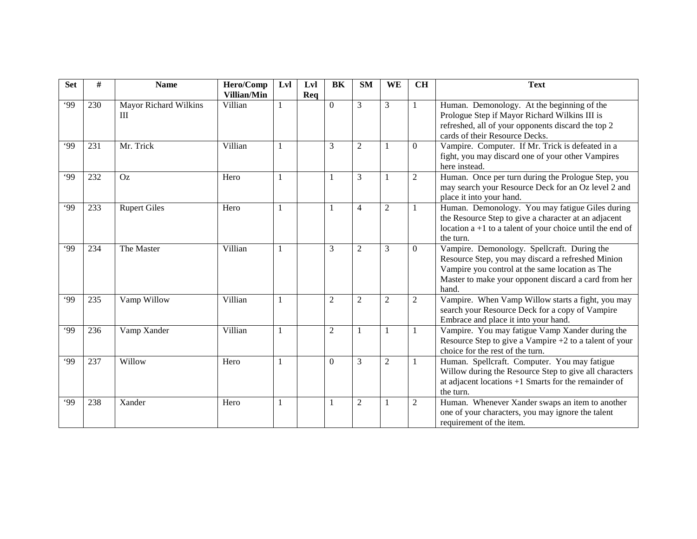| <b>Set</b> | #   | <b>Name</b>                | Hero/Comp              | Lvl | Lvl | BK             | <b>SM</b>      | <b>WE</b>      | <b>CH</b>      | <b>Text</b>                                                                                                                                                                                                          |
|------------|-----|----------------------------|------------------------|-----|-----|----------------|----------------|----------------|----------------|----------------------------------------------------------------------------------------------------------------------------------------------------------------------------------------------------------------------|
| .99        | 230 | Mayor Richard Wilkins<br>Ш | Villian/Min<br>Villian | 1   | Req | $\Omega$       | 3              | 3              |                | Human. Demonology. At the beginning of the<br>Prologue Step if Mayor Richard Wilkins III is<br>refreshed, all of your opponents discard the top 2<br>cards of their Resource Decks.                                  |
| .99        | 231 | Mr. Trick                  | Villian                | 1   |     | 3              | $\overline{2}$ | -1             | $\theta$       | Vampire. Computer. If Mr. Trick is defeated in a<br>fight, you may discard one of your other Vampires<br>here instead.                                                                                               |
| .99        | 232 | Oz                         | Hero                   | 1   |     |                | 3              | 1              | $\overline{2}$ | Human. Once per turn during the Prologue Step, you<br>may search your Resource Deck for an Oz level 2 and<br>place it into your hand.                                                                                |
| 99         | 233 | <b>Rupert Giles</b>        | Hero                   | 1   |     | 1              | $\overline{4}$ | $\overline{2}$ | -1             | Human. Demonology. You may fatigue Giles during<br>the Resource Step to give a character at an adjacent<br>location $a + 1$ to a talent of your choice until the end of<br>the turn.                                 |
| .99        | 234 | The Master                 | Villian                | 1   |     | 3              | $\overline{2}$ | 3              | $\theta$       | Vampire. Demonology. Spellcraft. During the<br>Resource Step, you may discard a refreshed Minion<br>Vampire you control at the same location as The<br>Master to make your opponent discard a card from her<br>hand. |
| .99        | 235 | Vamp Willow                | Villian                | 1   |     | $\overline{2}$ | $\overline{2}$ | $\overline{2}$ | 2              | Vampire. When Vamp Willow starts a fight, you may<br>search your Resource Deck for a copy of Vampire<br>Embrace and place it into your hand.                                                                         |
| 99         | 236 | Vamp Xander                | Villian                | 1   |     | $\overline{2}$ | 1              | 1              |                | Vampire. You may fatigue Vamp Xander during the<br>Resource Step to give a Vampire $+2$ to a talent of your<br>choice for the rest of the turn.                                                                      |
| .99        | 237 | Willow                     | Hero                   |     |     | $\mathbf{0}$   | 3              | $\overline{2}$ |                | Human. Spellcraft. Computer. You may fatigue<br>Willow during the Resource Step to give all characters<br>at adjacent locations $+1$ Smarts for the remainder of<br>the turn.                                        |
| 99'        | 238 | Xander                     | Hero                   | -1  |     | 1              | 2              | -1             | $\overline{2}$ | Human. Whenever Xander swaps an item to another<br>one of your characters, you may ignore the talent<br>requirement of the item.                                                                                     |